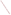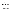#### **AGENCY:** ENVIRONMENTAL PROTECTION AGENCY

# **TITLE:** "NATIONAL CLEAN DIESEL CAMPAIGN DEMONSTRATION ASSISTANCE AGREEMENTS"

- **ACTION:** Request for Applications (RFA) Questions and Answers
- **RFA No:** OAR-CCD-05-14

# **CATALOG OF FEDERAL DOMESTIC ASSISTANCE (CFDA) NO:** 66.034

**SUMMARY:** The following are formal Agency responses to the questions/comments regarding the subject solicitation.

#### **1. Are rail projects eligible?**

Yes, eligible activities include the use of verified technologies in nonroad diesel vehicles and equipment. There is nothing that precludes rail projects, including auxiliary engines on rail, from being proposed by an eligible entity.

# **2. Do stationary emergency diesel standby generators qualify as targeted equipment for purposes of this solicitation?**

No. Portable mobile generators used at construction sites or ports would qualify but stationary generators would not.

#### **3. Are transit buses eligible for this program or is this grant only for "off road" vehicles?**

No. Transit buses are not eligible since this is intended for non-road vehicles and engines.

# **4. If work is performed before the funding agreement is in place is there a way to recover any financial relief?**

No, costs incurred before the funding agreement is in place will not be reimbursed.

# **5. Is a heavy duty diesel yard dump truck eligible for this program?**

Highway vehicles, such as dump trucks, will be considered if they are used in construction or port applications. As a general rule, highway vehicles are not eligible for funding.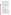**6. An Alaska native corporation holds a substantial minority interest in our organization. The remaining equity interests are held by non-tribal entities (e.g., individuals and other institutions). Does this level of ownership by a tribal agency permit us to participate, or is majority/sole ownership required?** 

EPA does not believe your organization would be eligible to apply to this program. Tribal government agencies refer to federally-recognized tribal governments.

**7. \$800,000 spread over 12 awards isn't much money per project to reduce emissions from trucks, ship or trains. However, a \$70,000 grant would go a long way to help with our efforts in air quality improvement. Can the funds be used for inventory, assessments, community collaboration, and the development of an affirmative air quality action plan?** 

The goal is to provide seed funding for demonstration projects involving retrofits and replacement of nonroad engines. The projects should demonstrate the applicability and feasibility of verified technology in construction or port-related activities.

# **8. Do the diesel turbines of an electric power utility qualify as non-road equipment?**

No. Diesel turbines of an electric power plant are not considered nonroad mobile equipment for purposes of this funding competition. Projects involving stationary diesel turbines are not eligible for this funding competition.

# **9. I'm interested in the funding opportunity, but I'm not an eligible entity. What are my options?**

Due to the legal authority for setting up these grants, private fleet managers or technology providers are not eligible to apply for funds. However, vendors and private fleets can encourage eligible entities such as public or non profit organizations to apply and can lend their support to an application. Partner support such as those from fleet managers and vendors can strengthen an application.

# **10. When a successful grant applicant (such as a public entity) is ready to purchase a retrofit technology, do they have to go through a competitive bidding process? What if they already know what product they want to use?**

Selected applicants that utilize sub-grants or procure retrofit technologies will be subject to the requirements outlined in EPA grant regulations 40 \*CFR 31.36 (\*CFR = Code of Federal Regulations) for activities with EPA money. These regulations require that services be obtained competitively and the requirements can be found at: [http://www.access.gpo.gov/nara/cfr/waisidx\\_02/40cfrv1\\_02.html.](http://www.access.gpo.gov/nara/cfr/waisidx_02/40cfrv1_02.html) If, for example, a grant applicant was committed to using technology type A (which could be a DOC, DPF, fuel, etc), then the applicant would need to compete for the specific vendor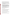according to the regulations. Many governmental entities already have their own procurement policies which include a competitive process. If these procurement procedures comply with federal regulations (again, 40 \*CFR 31.36), then public entities can utilize those policies. In general, we have found that when entities compete for products and services, they get much better prices than if they do not.

**11. Can the grant funds be used to pay the grantee to install retrofit devices on their own fleet? What if they are not the grantee, such as a State entity being paid to install retrofit technologies?** 

Applicants can propose reimbursement of costs associated with the installation of the retrofit equipment owned by the grantee or owned by the other entities.

**12. We understand that services have to be bid competitively. If we have state funds already dedicated to a project's personnel services and we apply for EPA funds to be used only for retrofit equipment purchases, will the selection of our contractor with non-EPA funds be subject to the competitive requirements of the grant? In other words, if we've already selected our contractor and we pay him with our own funds, will EPA have a problem awarding us money for the retrofit equipment?**

If an organization is going to pay a selected contractor with non-EPA funds for the services of a contractor, then your organization is not subject to the same competition/procurement requirements that you would be subject to if EPA funds were being used to pay for the services of the contractor.

# **13. Are biodiesel projects eligible?**

Yes.

**14. We have dump trucks that are used in construction for most of the year, but then are used as snow plows in the winter. Would they be eligible?** 

If they are used in construction applications, they would be eligible.

# **15. How is the date determined by which the funds must be spent?**

Applicants should propose their schedule for the project and the use of funds. The project period for this grant is two years, approximately October 2005-October 2007.

# **16. Are port authorities eligible to apply for these grants?**

Eligibility to apply for funds will depend on the circumstances of the entity applying. Port authorities that are state or local agencies, or are non-profit organization as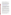defined by OMB Circular A-122 are eligible to apply. Many port authorities are part of state or local governments and would be eligible to apply.

Furthermore, OMB Circular A-122 defines non-profit organizations as any corporation, trust, association, cooperative, or other organization which: (1) is operated primarily for scientific, educational, service, charitable, or similar purposes in the public interest; (2) is not organized primarily for profit; and (3) uses its net proceeds to maintain, improve, and/or expand its operations. For this purpose, the term "non-profit organization" excludes (i) colleges and universities; (ii) hospitals; (iii) state, local, and federally-recognized Indian tribal governments; and (iv) those non-profit organizations which are excluded from coverage of this Circular in accordance with paragraph 5 of the Circular. The Circular can be found at: [http://www.whitehouse.gov/omb/circulars/a122/a122\\_2004.pdf](http://www.whitehouse.gov/omb/circulars/a122/a122_2004.pdf) 

Port authorities that are private entities or non-profit organizations that do not meet the criteria in OMB Circular A-122 are not eligible to apply.

**17. The RFA indicates that CARB or EPA verified technologies must be used, but also asks for innovative applications. I am wondering if funding can also be used for combinations of technologies that may include non-verified technologies (i.e. a verified device with an unverified fuel additive), or if it is strictly reserved for verified technologies.**

Technologies that are not verified or certified by the EPA or the California Air Resources Board are not eligible for funding. However, EPA will consider projects that utilize verified or certified technologies in applications beyond those indicated in their certification or verification. For example, EPA will consider projects where a technology verified for only on-road use is used in a non-road application if a reasonable technical rationale is made that the new application will be suitable and result in emissions reductions. In the case of combining unverified technologies with verified technologies, EPA will not pay for the portion of the project that includes the unverified technology.

**18. Although the RFA indicates that anticipated awards are in the \$50,000 - \$150,000 range, is it probable that some awards could approach the \$200,000 ceiling? What if significant funds from other sources would supplement the project?** 

It is impossible to estimate the probability of whether some awards could approach the \$200,000 maximum on grant awards. Among the many factors that would go into the agency's decision to award at the maximum level are how competitive the applications are for funds and the quality of the proposals received.

Leveraging resources from non-EPA sources is encouraged and can make an application more competitive for selection. Financial participation is outlined in the selection criteria that EPA will use to evaluate applications.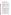#### **19. What, specifically, can the grant funds be utilized for (i.e. procurement/installation of technologies, testing and evaluation of technologies, project management/planning, etc.)? Basically - what does "demonstration" entail?**

The grant funds can be used for the procurement and installation of technologies along with administration of those activities. Emissions testing will not be funded through this solicitation.

**20. If our grant was selected, we would need to set up a sub-grant program to administer the funds. At this point, we do not have specific equipment, retrofits, or fleets to identify in the application, but we have plans and a project underway that will allow us to target specific equipment and identify the retrofit technology that will be used. Is this an acceptable way to set up a sub-grant program?** 

Yes, you can set up a sub-grant program in this manner. Applicants should have a clear plan for sub-granting and be able to describe the process that will be used for identifying fleets and technologies. Applicants should describe specifically how they plan to administer sub-grants and estimate the vehicles or equipment that will be retrofitted.

Successful applicants cannot use sub-grants or sub-awards to avoid requirements in EPA grant or cooperative agreement regulations for competitive procurement by using these instruments to acquire commercial services or products to carry out its cooperative agreement. The nature of the transaction between the recipient and the sub-grantee must be consistent with the standards for distinguishing between vendor transactions and sub-recipient assistance under Subpart B Section .210 of OMB Circular A-133 (found at: [http://www.whitehouse.gov/omb/circulars/a133/a133.html\)](http://www.whitehouse.gov/omb/circulars/a133/a133.html) and the definitions of "sub-award" at 40 CFR 30.2(ff) or "sub-grant" at 40 CFR 31.3, as applicable. EPA will not be a party to these transactions.

**21. I know there is some timing information in the RFA, but can you give me a better idea when you hope to get contracts in place and projects going? We expect to begin installing retrofits early 2006 and test in spring/summer 2006. Would this match the EPA timeline?** 

The project period for this grant is two years, approximately October 2005-October 2007. We anticipate notifying successful grantees in the fall of 2005. Getting agreements finalized usually takes about 90 days from the notification of selection.

**22. What will EPA's role be in the projects? Is it an active role (i.e. being involved in retrofit selection, testing, etc.), or a more passive one (i.e. assuring that funds are properly spent/allocated, but really only being peripherally involved in the actual projects)? Just want to get a sense of the**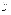#### **coordination effort required between the EPA contract and our current contract with another entity.**

Cooperative agreements permit substantial involvement between the EPA Project Officer and the selected applicants in the performance of the work supported. Although EPA will negotiate precise terms and conditions relating to substantial involvement as part of the award process, the anticipated substantial Federal involvement for this project will be:

- 1. close monitoring of the successful applicant's performance;
- 2. collaboration during the performance of the scope of work;
- 3. approving substantive terms of proposed contracts;
- 4. approving any proposed changes to work plan and/or budget;
- 5. approving qualifications of key personnel;
- 6. review and comment on reports prepared under the assistance agreement.

Some projects may require more involvement from the EPA Project Officer than others.

**23. I have a question about whether a proposal involving a particular application of existing technology will be considered under the subject solicitation. If we could make arrangements with a railway company to outfit one or more locomotives with APUs, would that qualify as a demonstration project?** 

No, this solicitation is not intended to fund idle reduction technologies.

**24. We are interested in replacing diesel equipment with electric equipment and are aware that we have to scrap the replaced diesel equipment. Does this replacement have to be one for one? Can we buy 2 pieces of electric equipment and scrap only one diesel?** 

No, the emissions benefits of replacing diesel equipment with something cleaner are only realized if the equipment being replaced is no longer in operation. Otherwise, the EPA would be paying an entity to add to their fleet. EPA will only consider replacements on a one-for-one basis or where the number of current vehicles/equipment taken out of use exceeds the number of replacements with cleaner vehicles/equipment. For example, the replacement of two high-emitting draglines with one retrofitted excavator would be an eligible project.

#### **25. Do cement mixers qualify as nonroad equipment?**

Cement mixers are eligible for funding.

**26. Could the retrofitting and/or replacement of diesel pick-up trucks be eligible if used primarily in off road applications such as state parks/forests?**